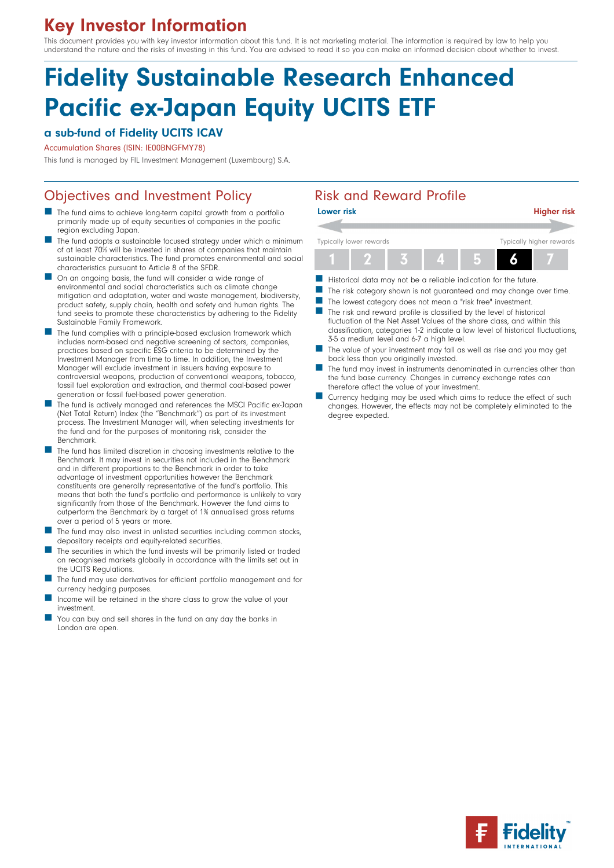# Key Investor Information

This document provides you with key investor information about this fund. It is not marketing material. The information is required by law to help you understand the nature and the risks of investing in this fund. You are advised to read it so you can make an informed decision about whether to invest.

# Fidelity Sustainable Research Enhanced Pacific ex-Japan Equity UCITS ETF

### a sub-fund of Fidelity UCITS ICAV

Accumulation Shares (ISIN: IE00BNGFMY78)

This fund is managed by FIL Investment Management (Luxembourg) S.A.

# Objectives and Investment Policy **Risk and Reward Profile**

- The fund aims to achieve long-term capital growth from a portfolio primarily made up of equity securities of companies in the pacific region excluding Japan.
- The fund adopts a sustainable focused strategy under which a minimum of at least 70% will be invested in shares of companies that maintain sustainable characteristics. The fund promotes environmental and social characteristics pursuant to Article 8 of the SFDR.
- **n** On an ongoing basis, the fund will consider a wide range of environmental and social characteristics such as climate change mitigation and adaptation, water and waste management, biodiversity, product safety, supply chain, health and safety and human rights. The fund seeks to promote these characteristics by adhering to the Fidelity Sustainable Family Framework.
- The fund complies with a principle-based exclusion framework which includes norm-based and negative screening of sectors, companies, practices based on specific ESG criteria to be determined by the Investment Manager from time to time. In addition, the Investment Manager will exclude investment in issuers having exposure to controversial weapons, production of conventional weapons, tobacco, fossil fuel exploration and extraction, and thermal coal-based power generation or fossil fuel-based power generation.
- The fund is actively managed and references the MSCI Pacific ex-Japan (Net Total Return) Index (the "Benchmark") as part of its investment process. The Investment Manager will, when selecting investments for the fund and for the purposes of monitoring risk, consider the Benchmark.
- The fund has limited discretion in choosing investments relative to the Benchmark. It may invest in securities not included in the Benchmark and in different proportions to the Benchmark in order to take advantage of investment opportunities however the Benchmark constituents are generally representative of the fund's portfolio. This means that both the fund's portfolio and performance is unlikely to vary significantly from those of the Benchmark. However the fund aims to outperform the Benchmark by a target of 1% annualised gross returns over a period of 5 years or more.
- The fund may also invest in unlisted securities including common stocks, depositary receipts and equity-related securities.
- The securities in which the fund invests will be primarily listed or traded on recognised markets globally in accordance with the limits set out in the UCITS Regulations.
- The fund may use derivatives for efficient portfolio management and for currency hedging purposes.
- Income will be retained in the share class to grow the value of your investment.
- You can buy and sell shares in the fund on any day the banks in London are open.



- Historical data may not be a reliable indication for the future.
- The risk category shown is not guaranteed and may change over time.
- The lowest category does not mean a "risk free" investment.
- $\blacksquare$  The risk and reward profile is classified by the level of historical fluctuation of the Net Asset Values of the share class, and within this classification, categories 1-2 indicate a low level of historical fluctuations, 3-5 a medium level and 6-7 a high level.
- The value of your investment may fall as well as rise and you may get back less than you originally invested.
- The fund may invest in instruments denominated in currencies other than the fund base currency. Changes in currency exchange rates can therefore affect the value of your investment.
- Currency hedging may be used which aims to reduce the effect of such changes. However, the effects may not be completely eliminated to the degree expected.